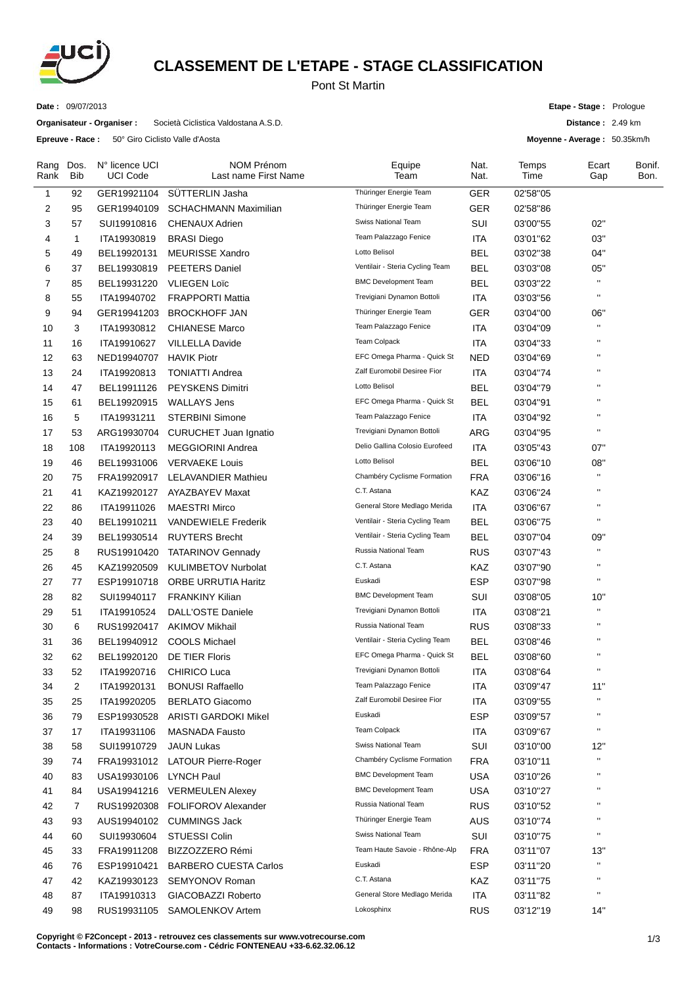

## **CLASSEMENT DE L'ETAPE - STAGE CLASSIFICATION**

Pont St Martin

**Date :** 09/07/2013

**Organisateur - Organiser :** Società Ciclistica Valdostana A.S.D.

**Epreuve - Race :** 50° Giro Ciclisto Valle d'Aosta

**Etape - Stage :** Prologue

**Distance :** 2.49 km

**Moyenne - Average :** 50.35km/h

| Rang<br>Rank | Dos.<br><b>Bib</b> | N° licence UCI<br><b>UCI Code</b> | <b>NOM Prénom</b><br>Last name First Name | Equipe<br>Team                  | Nat.<br>Nat. | Temps<br>Time | Ecart<br>Gap       | Bonif.<br>Bon. |
|--------------|--------------------|-----------------------------------|-------------------------------------------|---------------------------------|--------------|---------------|--------------------|----------------|
| $\mathbf{1}$ | 92                 | GER19921104                       | <b>SUTTERLIN Jasha</b>                    | Thüringer Energie Team          | GER          | 02'58"05      |                    |                |
| 2            | 95                 | GER19940109                       | <b>SCHACHMANN Maximilian</b>              | Thüringer Energie Team          | GER          | 02'58"86      |                    |                |
| 3            | 57                 | SUI19910816                       | <b>CHENAUX Adrien</b>                     | Swiss National Team             | SUI          | 03'00"55      | 02"                |                |
| 4            | 1                  | ITA19930819                       | <b>BRASI</b> Diego                        | Team Palazzago Fenice           | ITA          | 03'01"62      | 03"                |                |
| 5            | 49                 | BEL19920131                       | <b>MEURISSE Xandro</b>                    | Lotto Belisol                   | BEL          | 03'02"38      | 04"                |                |
| 6            | 37                 | BEL19930819                       | <b>PEETERS Daniel</b>                     | Ventilair - Steria Cycling Team | <b>BEL</b>   | 03'03"08      | 05"                |                |
| 7            | 85                 | BEL19931220                       | <b>VLIEGEN Loïc</b>                       | <b>BMC Development Team</b>     | <b>BEL</b>   | 03'03"22      | $\mathbf{u}$       |                |
| 8            | 55                 | ITA19940702                       | <b>FRAPPORTI Mattia</b>                   | Trevigiani Dynamon Bottoli      | <b>ITA</b>   | 03'03"56      | $\mathbf{H}$       |                |
| 9            | 94                 | GER19941203                       | <b>BROCKHOFF JAN</b>                      | Thüringer Energie Team          | GER          | 03'04"00      | 06"                |                |
| 10           | 3                  | ITA19930812                       | <b>CHIANESE Marco</b>                     | Team Palazzago Fenice           | ITA          | 03'04"09      | $\pmb{\mathsf{H}}$ |                |
| 11           | 16                 | ITA19910627                       | <b>VILLELLA Davide</b>                    | Team Colpack                    | <b>ITA</b>   | 03'04"33      | $\pmb{\mathsf{H}}$ |                |
| 12           | 63                 | NED19940707                       | <b>HAVIK Piotr</b>                        | EFC Omega Pharma - Quick St     | <b>NED</b>   | 03'04"69      | $\pmb{\mathsf{H}}$ |                |
| 13           | 24                 | ITA19920813                       | <b>TONIATTI Andrea</b>                    | Zalf Euromobil Desiree Fior     | ITA          | 03'04"74      | $\mathbf{H}$       |                |
| 14           | 47                 | BEL19911126                       | <b>PEYSKENS Dimitri</b>                   | Lotto Belisol                   | <b>BEL</b>   | 03'04"79      | $\pmb{\mathsf{H}}$ |                |
| 15           | 61                 | BEL19920915                       | <b>WALLAYS Jens</b>                       | EFC Omega Pharma - Quick St     | <b>BEL</b>   | 03'04"91      | $\mathbf{H}$       |                |
| 16           | 5                  | ITA19931211                       | <b>STERBINI Simone</b>                    | Team Palazzago Fenice           | ITA          | 03'04"92      | $\mathbf{H}$       |                |
| 17           | 53                 | ARG19930704                       | <b>CURUCHET Juan Ignatio</b>              | Trevigiani Dynamon Bottoli      | ARG          | 03'04"95      | $\mathbf{H}$       |                |
| 18           | 108                | ITA19920113                       | <b>MEGGIORINI Andrea</b>                  | Delio Gallina Colosio Eurofeed  | ITA          | 03'05"43      | 07"                |                |
| 19           | 46                 | BEL19931006                       | <b>VERVAEKE Louis</b>                     | Lotto Belisol                   | BEL          | 03'06"10      | 08"                |                |
| 20           | 75                 | FRA19920917                       | <b>LELAVANDIER Mathieu</b>                | Chambéry Cyclisme Formation     | <b>FRA</b>   | 03'06"16      | $\mathbf{H}$       |                |
| 21           | 41                 | KAZ19920127                       | AYAZBAYEV Maxat                           | C.T. Astana                     | KAZ          | 03'06"24      | $\mathbf{H}$       |                |
| 22           | 86                 | ITA19911026                       | <b>MAESTRI Mirco</b>                      | General Store Medlago Merida    | <b>ITA</b>   | 03'06"67      | $\pmb{\mathsf{H}}$ |                |
| 23           | 40                 | BEL19910211                       | <b>VANDEWIELE Frederik</b>                | Ventilair - Steria Cycling Team | <b>BEL</b>   | 03'06"75      | $\mathbf{H}$       |                |
| 24           | 39                 | BEL19930514                       | <b>RUYTERS Brecht</b>                     | Ventilair - Steria Cycling Team | <b>BEL</b>   | 03'07"04      | 09"                |                |
| 25           | 8                  | RUS19910420                       | <b>TATARINOV Gennady</b>                  | Russia National Team            | <b>RUS</b>   | 03'07"43      | $\mathbf{H}$       |                |
| 26           | 45                 | KAZ19920509                       | <b>KULIMBETOV Nurbolat</b>                | C.T. Astana                     | KAZ          | 03'07"90      | $\mathbf{H}$       |                |
| 27           | 77                 | ESP19910718                       | <b>ORBE URRUTIA Haritz</b>                | Euskadi                         | <b>ESP</b>   | 03'07"98      | $\mathbf{H}$       |                |
| 28           | 82                 | SUI19940117                       | <b>FRANKINY Kilian</b>                    | <b>BMC Development Team</b>     | SUI          | 03'08"05      | 10"                |                |
| 29           | 51                 | ITA19910524                       | <b>DALL'OSTE Daniele</b>                  | Trevigiani Dynamon Bottoli      | ITA          | 03'08"21      | $\mathbf{u}$       |                |
| 30           | 6                  | RUS19920417                       | <b>AKIMOV Mikhail</b>                     | Russia National Team            | <b>RUS</b>   | 03'08"33      | $\mathbf{H}$       |                |
| 31           | 36                 | BEL19940912                       | <b>COOLS Michael</b>                      | Ventilair - Steria Cycling Team | <b>BEL</b>   | 03'08"46      | $\mathbf{H}$       |                |
| 32           | 62                 | BEL19920120                       | DE TIER Floris                            | EFC Omega Pharma - Quick St     | <b>BEL</b>   | 03'08"60      | $\mathbf{H}$       |                |
| 33           | 52                 | ITA19920716                       | <b>CHIRICO Luca</b>                       | Trevigiani Dynamon Bottoli      | <b>ITA</b>   | 03'08"64      | $\pmb{\mathsf{H}}$ |                |
| 34           | 2                  | ITA19920131                       | <b>BONUSI Raffaello</b>                   | Team Palazzago Fenice           | <b>ITA</b>   | 03'09"47      | 11"                |                |
| 35           | 25                 | ITA19920205                       | <b>BERLATO Giacomo</b>                    | Zalf Euromobil Desiree Fior     | <b>ITA</b>   | 03'09"55      | $\mathbf{H}$       |                |
| 36           | 79                 | ESP19930528                       | <b>ARISTI GARDOKI Mikel</b>               | Euskadi                         | <b>ESP</b>   | 03'09"57      | $\mathbf{H}$       |                |
| 37           | 17                 | ITA19931106                       | MASNADA Fausto                            | <b>Team Colpack</b>             | <b>ITA</b>   | 03'09"67      | $\mathbf{H}$       |                |
| 38           | 58                 | SUI19910729                       | <b>JAUN Lukas</b>                         | Swiss National Team             | SUI          | 03'10"00      | 12"                |                |
| 39           | 74                 | FRA19931012                       | <b>LATOUR Pierre-Roger</b>                | Chambéry Cyclisme Formation     | <b>FRA</b>   | 03'10"11      | $\mathbf{u}$       |                |
| 40           | 83                 | USA19930106                       | <b>LYNCH Paul</b>                         | <b>BMC Development Team</b>     | <b>USA</b>   | 03'10"26      | $\mathbf{H}$       |                |
| 41           | 84                 | USA19941216                       | <b>VERMEULEN Alexey</b>                   | <b>BMC Development Team</b>     | <b>USA</b>   | 03'10"27      | $\blacksquare$     |                |
| 42           | 7                  | RUS19920308                       | <b>FOLIFOROV Alexander</b>                | Russia National Team            | <b>RUS</b>   | 03'10"52      | $\pmb{\mathsf{H}}$ |                |
| 43           | 93                 | AUS19940102                       | <b>CUMMINGS Jack</b>                      | Thüringer Energie Team          | <b>AUS</b>   | 03'10"74      | $\pmb{\mathsf{H}}$ |                |
| 44           | 60                 | SUI19930604                       | STUESSI Colin                             | Swiss National Team             | SUI          | 03'10"75      | $\mathbf{H}$       |                |
| 45           | 33                 | FRA19911208                       | BIZZOZZERO Rémi                           | Team Haute Savoie - Rhône-Alp   | <b>FRA</b>   | 03'11"07      | 13"                |                |
| 46           | 76                 | ESP19910421                       | <b>BARBERO CUESTA Carlos</b>              | Euskadi                         | <b>ESP</b>   | 03'11"20      | $\mathbf{H}$       |                |
| 47           | 42                 | KAZ19930123                       | <b>SEMYONOV Roman</b>                     | C.T. Astana                     | KAZ          | 03'11"75      | $\mathbf{H}$       |                |
| 48           | 87                 | ITA19910313                       | GIACOBAZZI Roberto                        | General Store Medlago Merida    | <b>ITA</b>   | 03'11"82      | $\mathbf{H}$       |                |
| 49           | 98                 | RUS19931105                       | SAMOLENKOV Artem                          | Lokosphinx                      | <b>RUS</b>   | 03'12"19      | 14"                |                |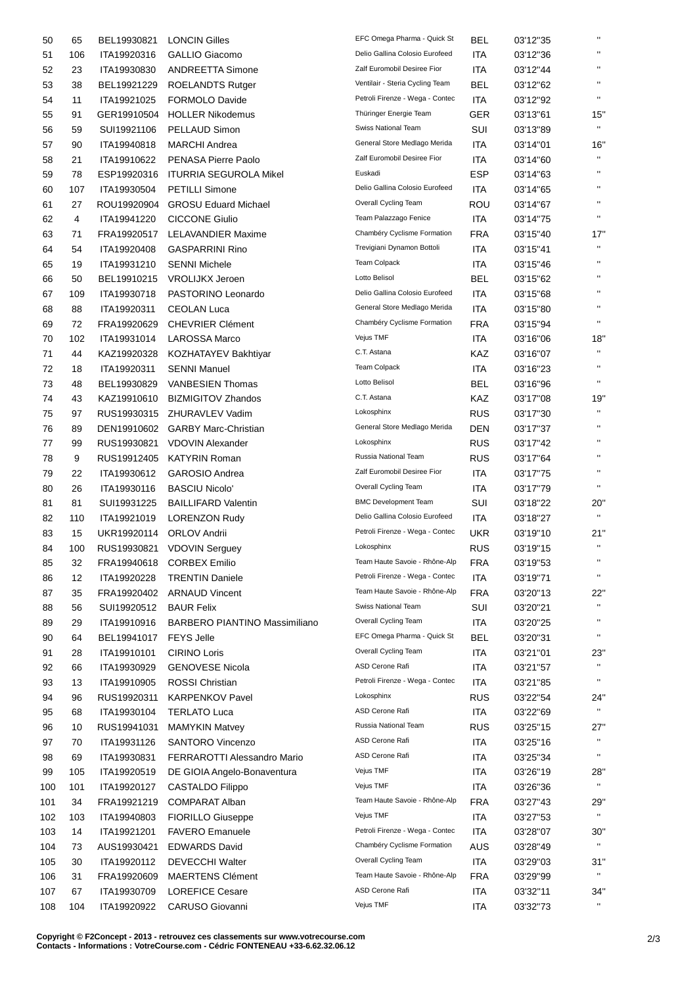| 50         | 65        | BEL19930821                | <b>LONCIN Gilles</b>                            | EFC Omega Pharma - Quick St     | <b>BEL</b>               | 03'12"35             | $\pmb{\mathsf{H}}$ |
|------------|-----------|----------------------------|-------------------------------------------------|---------------------------------|--------------------------|----------------------|--------------------|
| 51         | 106       | ITA19920316                | GALLIO Giacomo                                  | Delio Gallina Colosio Eurofeed  | <b>ITA</b>               | 03'12"36             | $\pmb{\mathsf{H}}$ |
| 52         | 23        | ITA19930830                | <b>ANDREETTA Simone</b>                         | Zalf Euromobil Desiree Fior     | <b>ITA</b>               | 03'12"44             | $\pmb{\mathsf{H}}$ |
| 53         | 38        | BEL19921229                | <b>ROELANDTS Rutger</b>                         | Ventilair - Steria Cycling Team | BEL                      | 03'12"62             | $\pmb{\mathsf{H}}$ |
| 54         | 11        | ITA19921025                | FORMOLO Davide                                  | Petroli Firenze - Wega - Contec | <b>ITA</b>               | 03'12"92             | $\mathbf{H}$       |
| 55         | 91        | GER19910504                | <b>HOLLER Nikodemus</b>                         | Thüringer Energie Team          | GER                      | 03'13"61             | 15"                |
| 56         | 59        | SUI19921106                | PELLAUD Simon                                   | Swiss National Team             | SUI                      | 03'13"89             | $\mathbf{H}$       |
| 57         | 90        | ITA19940818                | <b>MARCHI</b> Andrea                            | General Store Medlago Merida    | <b>ITA</b>               | 03'14"01             | 16"                |
| 58         | 21        | ITA19910622                | PENASA Pierre Paolo                             | Zalf Euromobil Desiree Fior     | ITA                      | 03'14"60             | $\mathbf{H}$       |
| 59         | 78        | ESP19920316                | <b>ITURRIA SEGUROLA Mikel</b>                   | Euskadi                         | ESP                      | 03'14"63             | $\pmb{\mathsf{H}}$ |
| 60         | 107       | ITA19930504                | <b>PETILLI Simone</b>                           | Delio Gallina Colosio Eurofeed  | ITA                      | 03'14"65             | $\pmb{\mathsf{H}}$ |
| 61         | 27        | ROU19920904                | <b>GROSU Eduard Michael</b>                     | Overall Cycling Team            | ROU                      | 03'14"67             | $\mathbf{H}$       |
| 62         | 4         | ITA19941220                | <b>CICCONE Giulio</b>                           | Team Palazzago Fenice           | <b>ITA</b>               | 03'14"75             | $\mathbf{H}$       |
| 63         | 71        | FRA19920517                | <b>LELAVANDIER Maxime</b>                       | Chambéry Cyclisme Formation     | <b>FRA</b>               | 03'15"40             | 17"                |
| 64         | 54        | ITA19920408                | <b>GASPARRINI Rino</b>                          | Trevigiani Dynamon Bottoli      | <b>ITA</b>               | 03'15"41             | $\mathbf{H}$       |
| 65         | 19        | ITA19931210                | <b>SENNI Michele</b>                            | Team Colpack                    | <b>ITA</b>               | 03'15"46             | $\pmb{\mathsf{H}}$ |
| 66         | 50        | BEL19910215                | <b>VROLIJKX Jeroen</b>                          | Lotto Belisol                   | <b>BEL</b>               | 03'15"62             | $\pmb{\mathsf{H}}$ |
| 67         | 109       | ITA19930718                | PASTORINO Leonardo                              | Delio Gallina Colosio Eurofeed  | ITA                      | 03'15"68             | $\pmb{\mathsf{H}}$ |
| 68         | 88        | ITA19920311                | <b>CEOLAN Luca</b>                              | General Store Medlago Merida    | <b>ITA</b>               | 03'15"80             | $\pmb{\mathsf{H}}$ |
|            | 72        | FRA19920629                | <b>CHEVRIER Clément</b>                         | Chambéry Cyclisme Formation     | <b>FRA</b>               |                      | $\pmb{\mathsf{H}}$ |
| 69         | 102       | ITA19931014                | <b>LAROSSA Marco</b>                            | Vejus TMF                       | <b>ITA</b>               | 03'15"94<br>03'16"06 | 18"                |
| 70<br>71   | 44        | KAZ19920328                | KOZHATAYEV Bakhtiyar                            | C.T. Astana                     | KAZ                      | 03'16"07             | $\mathbf{H}$       |
| 72         |           | ITA19920311                | <b>SENNI Manuel</b>                             | <b>Team Colpack</b>             | <b>ITA</b>               | 03'16"23             | $\pmb{\mathsf{H}}$ |
| 73         | 18        |                            | <b>VANBESIEN Thomas</b>                         | Lotto Belisol                   | <b>BEL</b>               | 03'16"96             | $\pmb{\mathsf{H}}$ |
|            | 48        | BEL19930829                |                                                 | C.T. Astana                     | KAZ                      |                      | 19"                |
| 74<br>75   | 43        | KAZ19910610                | <b>BIZMIGITOV Zhandos</b>                       | Lokosphinx                      | <b>RUS</b>               | 03'17"08             |                    |
|            | 97        | RUS19930315                | ZHURAVLEV Vadim                                 | General Store Medlago Merida    |                          | 03'17"30             | $\pmb{\mathsf{H}}$ |
| 76         | 89        | DEN19910602                | <b>GARBY Marc-Christian</b>                     | Lokosphinx                      | <b>DEN</b>               | 03'17"37             | $\pmb{\mathsf{H}}$ |
| 77         | 99<br>9   | RUS19930821<br>RUS19912405 | <b>VDOVIN Alexander</b><br><b>KATYRIN Roman</b> | Russia National Team            | <b>RUS</b><br><b>RUS</b> | 03'17"42             | $\mathbf{H}$       |
| 78         | 22        | ITA19930612                | <b>GAROSIO Andrea</b>                           | Zalf Euromobil Desiree Fior     | ITA                      | 03'17"64             | $\pmb{\mathsf{H}}$ |
| 79<br>80   | 26        | ITA19930116                | <b>BASCIU Nicolo'</b>                           | Overall Cycling Team            | <b>ITA</b>               | 03'17"75<br>03'17"79 | $\mathbf{H}$       |
| 81         | 81        | SUI19931225                | <b>BAILLIFARD Valentin</b>                      | <b>BMC Development Team</b>     | SUI                      | 03'18"22             | 20"                |
| 82         | 110       | ITA19921019                | <b>LORENZON Rudy</b>                            | Delio Gallina Colosio Eurofeed  | ITA                      | 03'18"27             | $\pmb{\mathsf{H}}$ |
| 83         | 15        | UKR19920114                | <b>ORLOV Andrii</b>                             | Petroli Firenze - Wega - Contec | <b>UKR</b>               | 03'19"10             | 21"                |
| 84         |           |                            | RUS19930821 VDOVIN Serguey                      | Lokosphinx                      | <b>RUS</b>               | 03'19"15             | $\mathbf{H}$       |
| 85         | 100<br>32 | FRA19940618                | <b>CORBEX Emilio</b>                            | Team Haute Savoie - Rhône-Alp   | <b>FRA</b>               | 03'19"53             | $\mathbf{H}$       |
| 86         | 12        | ITA19920228                | <b>TRENTIN Daniele</b>                          | Petroli Firenze - Wega - Contec | <b>ITA</b>               | 03'19"71             | $\blacksquare$     |
| 87         | 35        | FRA19920402                | <b>ARNAUD Vincent</b>                           | Team Haute Savoie - Rhône-Alp   | <b>FRA</b>               | 03'20"13             | 22"                |
| 88         | 56        | SUI19920512                | <b>BAUR Felix</b>                               | Swiss National Team             | SUI                      | 03'20"21             | $\blacksquare$     |
| 89         | 29        | ITA19910916                | <b>BARBERO PIANTINO Massimiliano</b>            | Overall Cycling Team            | <b>ITA</b>               | 03'20"25             | $\pmb{\mathsf{H}}$ |
|            |           | BEL19941017                | <b>FEYS Jelle</b>                               | EFC Omega Pharma - Quick St     | <b>BEL</b>               |                      | $\pmb{\mathsf{H}}$ |
| 90         | 64<br>28  | ITA19910101                | <b>CIRINO Loris</b>                             | Overall Cycling Team            | ITA                      | 03'20"31             | 23"                |
| 91         |           |                            | <b>GENOVESE Nicola</b>                          | ASD Cerone Rafi                 | <b>ITA</b>               | 03'21"01             | $\mathbf H$        |
| 92<br>93   | 66<br>13  | ITA19930929<br>ITA19910905 | <b>ROSSI Christian</b>                          | Petroli Firenze - Wega - Contec | ITA                      | 03'21"57<br>03'21"85 | $\pmb{\mathsf{u}}$ |
|            |           | RUS19920311                | <b>KARPENKOV Pavel</b>                          | Lokosphinx                      | <b>RUS</b>               | 03'22"54             | 24'                |
| 94         | 96        | ITA19930104                |                                                 | ASD Cerone Rafi                 | <b>ITA</b>               |                      | $\mathbf{H}$       |
| 95         | 68        |                            | <b>TERLATO Luca</b>                             | Russia National Team            | <b>RUS</b>               | 03'22"69             | 27"                |
| 96         | 10        | RUS19941031                | <b>MAMYKIN Matvey</b>                           | ASD Cerone Rafi                 | <b>ITA</b>               | 03'25"15             | $\mathbf{H}$       |
| 97         | 70        | ITA19931126                | <b>SANTORO Vincenzo</b>                         | ASD Cerone Rafi                 | ITA                      | 03'25"16             |                    |
| 98         | 69        | ITA19930831                | FERRAROTTI Alessandro Mario                     | Vejus TMF                       | <b>ITA</b>               | 03'25"34             | 28"                |
| 99         | 105       | ITA19920519                | DE GIOIA Angelo-Bonaventura                     | Vejus TMF                       | <b>ITA</b>               | 03'26"19             |                    |
| 100        | 101       | ITA19920127<br>FRA19921219 | CASTALDO Filippo<br><b>COMPARAT Alban</b>       | Team Haute Savoie - Rhône-Alp   | <b>FRA</b>               | 03'26"36             | 29'                |
| 101        | 34        |                            |                                                 | Vejus TMF                       |                          | 03'27"43             | $\mathbf{H}$       |
| 102        | 103       | ITA19940803                | <b>FIORILLO Giuseppe</b>                        | Petroli Firenze - Wega - Contec | <b>ITA</b>               | 03'27"53             | 30"                |
| 103        | 14        | ITA19921201<br>AUS19930421 | <b>FAVERO Emanuele</b><br><b>EDWARDS David</b>  | Chambéry Cyclisme Formation     | <b>ITA</b><br><b>AUS</b> | 03'28"07<br>03'28"49 | $\mathbf{H}$       |
| 104<br>105 | 73        | ITA19920112                | <b>DEVECCHI Walter</b>                          | Overall Cycling Team            | <b>ITA</b>               | 03'29"03             | $31$ "             |
|            | 30        |                            | <b>MAERTENS Clément</b>                         | Team Haute Savoie - Rhône-Alp   | <b>FRA</b>               |                      | $\pmb{\mathsf{H}}$ |
| 106        | 31        | FRA19920609<br>ITA19930709 | <b>LOREFICE Cesare</b>                          | ASD Cerone Rafi                 | <b>ITA</b>               | 03'29"99             | 34'                |
| 107        | 67        |                            |                                                 | Vejus TMF                       |                          | 03'32"11             |                    |
| 108        | 104       | ITA19920922                | CARUSO Giovanni                                 |                                 | <b>ITA</b>               | 03'32"73             |                    |